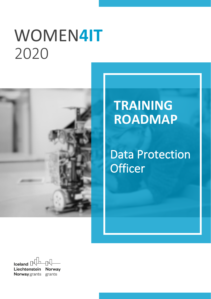# WOMEN4IT 2020



# **TRAINING ROADMAP**

**Data Protection Officer** 

 $\mathbb{R}$ Iceland  $\mathbb P$ Liechtenstein **Norway** Norway grants grants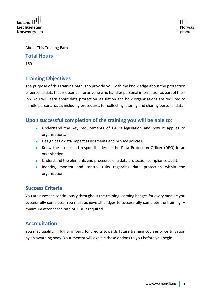$l$ celand $\overline{\phantom{a}}$ Liechtenstein **Norway** grants

About This Training Path

#### **Total Hours**

160

# **Training Objectives**

The purpose of this training path is to provide you with the knowledge about the protection of personal data that is essential for anyone who handles personal information as part of their job. You will learn about data protection legislation and how organisations are required to handle personal data, including procedures for collecting, storing and sharing personal data.

# **Upon successful completion of the training you will be able to:**

- Understand the key requirements of GDPR legislation and how it applies to organisations.
- Design basic data impact assessments and privacy policies.
- Know the scope and responsibilities of the Data Protection Officer (DPO) in an organisation.
- Understand the elements and processes of a data protection compliance audit.
- Identify, monitor and control risks regarding data protection within the organisation.

## **Success Criteria**

You are assessed continuously throughout the training, earning badges for every module you successfully complete. You must achieve all badges to successfully complete the training. A minimum attendance rate of 75% is required.

# **Accreditation**

You may qualify, in full or in part, for credits towards future training courses or certification by an awarding body. Your mentor will explain these options to you before you begin.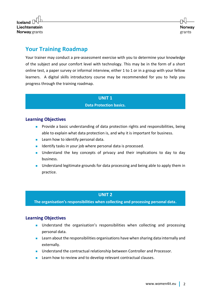

# **Your Training Roadmap**

Your trainer may conduct a pre-assessment exercise with you to determine your knowledge of the subject and your comfort level with technology. This may be in the form of a short online test, a paper survey or informal interview, either 1 to 1 or in a group with your fellow learners. A digital skills introductory course may be recommended for you to help you progress through the training roadmap.

#### **UNIT 1**

#### **Data Protection basics.**

#### **Learning Objectives**

- Provide a basic understanding of data protection rights and responsibilities, being able to explain what data protection is, and why it is important for business.
- Learn how to identify personal data.
- Identify tasks in your job where personal data is processed.
- Understand the key concepts of privacy and their implications to day to day business.
- Understand legitimate grounds for data processing and being able to apply them in practice.

#### **UNIT 2**

**The organisation's responsibilities when collecting and processing personal data.**

- **■** Understand the organisation's responsibilities when collecting and processing personal data.
- Learn about the responsibilities organisations have when sharing data internally and externally.
- Understand the contractual relationship between Controller and Processor.
- Learn how to review and to develop relevant contractual clauses.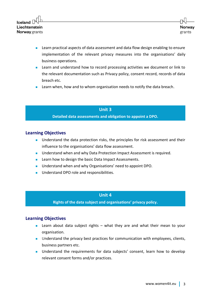- Learn practical aspects of data assessment and data flow design enabling to ensure implementation of the relevant privacy measures into the organisations' daily business operations.
- Learn and understand how to record processing activities we document or link to the relevant documentation such as Privacy policy, consent record, records of data breach etc.
- Learn when, how and to whom organisation needs to notify the data breach.

#### **Unit 3**

#### **Detailed data assessments and obligation to appoint a DPO.**

#### **Learning Objectives**

- Understand the data protection risks, the principles for risk assessment and their influence to the organisations' data flow assessment.
- Understand when and why Data Protection Impact Assessment is required.
- Learn how to design the basic Data Impact Assessments.
- Understand when and why Organisations' need to appoint DPO.
- Understand DPO role and responsibilities.

#### **Unit 4**

**Rights of the data subject and organisations' privacy policy.**

- Learn about data subject rights what they are and what their mean to your organisation.
- Understand the privacy best practices for communication with employees, clients, business partners etc.
- Understand the requirements for data subjects' consent, learn how to develop relevant consent forms and/or practices.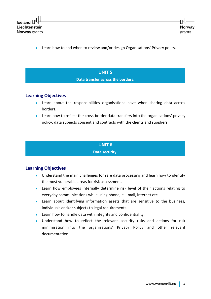

■ Learn how to and when to review and/or design Organisations' Privacy policy.

# **UNIT 5**

**Data transfer across the borders.**

#### **Learning Objectives**

- Learn about the responsibilities organisations have when sharing data across borders.
- Learn how to reflect the cross-border data transfers into the organisations' privacy policy, data subjects consent and contracts with the clients and suppliers.

#### **UNIT 6**

**Data security.**

- Understand the main challenges for safe data processing and learn how to identify the most vulnerable areas for risk assessment.
- Learn how employees internally determine risk level of their actions relating to everyday communications while using phone, e – mail, internet etc.
- Learn about identifying information assets that are sensitive to the business, individuals and/or subjects to legal requirements.
- Learn how to handle data with integrity and confidentiality.
- Understand how to reflect the relevant security risks and actions for risk minimisation into the organisations' Privacy Policy and other relevant documentation.